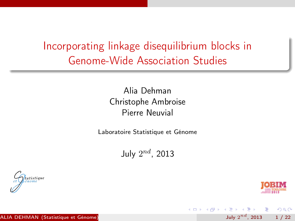Incorporating linkage disequilibrium blocks in Genome-Wide Association Studies

> Alia Dehman Christophe Ambroise Pierre Neuvial

Laboratoire Statistique et Génome

July  $2^{nd}$ , 2013

4 D F



<span id="page-0-0"></span> $R$ 

July  $2^{nd}$ , 2013 1 / 22

 $\mathcal{A} \cap \mathbb{P} \rightarrow \mathcal{A} \supseteq \mathcal{A} \rightarrow \mathcal{A} \supseteq \mathcal{A}$ 

一面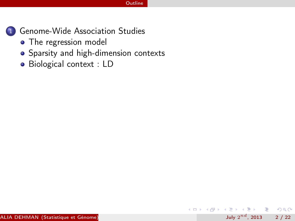

[Genome-Wide Association Studies](#page-5-0)

- [The regression model](#page-6-0)
- [Sparsity and high-dimension contexts](#page-7-0)
- [Biological context : LD](#page-8-0)

- 로

<span id="page-1-0"></span> $R$ 

 $($  ロ )  $($  何 )  $($  ヨ )  $($  ヨ  $)$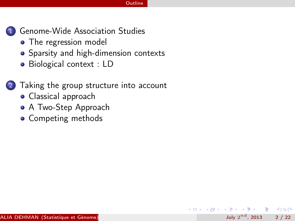July  $2^{nd}$ , 2013 2 / 22

G.

<span id="page-2-0"></span> $QQ$ 

 $\sim$ 

4 D F



1 [Genome-Wide Association Studies](#page-5-0)

- [The regression model](#page-6-0)
- [Sparsity and high-dimension contexts](#page-7-0)
- [Biological context : LD](#page-8-0)

[Taking the group structure into account](#page-12-0)

- [Classical approach](#page-13-0)
- [A Two-Step Approach](#page-14-0)
- [Competing methods](#page-15-0)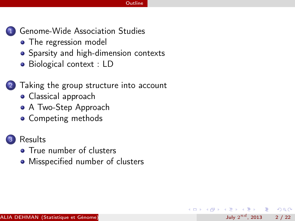July  $2^{nd}$ , 2013 2 / 22

<span id="page-3-0"></span> $\Omega$ 



[Genome-Wide Association Studies](#page-5-0)

- [The regression model](#page-6-0)
- [Sparsity and high-dimension contexts](#page-7-0)
- [Biological context : LD](#page-8-0)

#### [Taking the group structure into account](#page-12-0)

- [Classical approach](#page-13-0)
- [A Two-Step Approach](#page-14-0)
- [Competing methods](#page-15-0)

### **[Results](#page-17-0)**

- [True number of clusters](#page-18-0)
- [Misspecified number of clusters](#page-19-0)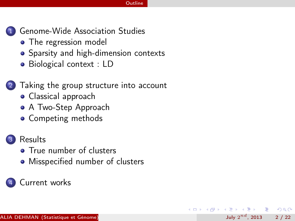July  $2^{nd}$ , 2013 2 / 22

<span id="page-4-0"></span> $\Omega$ 



[Genome-Wide Association Studies](#page-5-0)

- [The regression model](#page-6-0)
- [Sparsity and high-dimension contexts](#page-7-0)
- [Biological context : LD](#page-8-0)

#### [Taking the group structure into account](#page-12-0)

- [Classical approach](#page-13-0)
- [A Two-Step Approach](#page-14-0)
- [Competing methods](#page-15-0)

### **[Results](#page-17-0)**

- [True number of clusters](#page-18-0)
- [Misspecified number of clusters](#page-19-0)

#### [Current works](#page-21-0)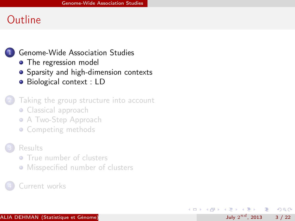#### 1 [Genome-Wide Association Studies](#page-5-0)

- [The regression model](#page-6-0)
- [Sparsity and high-dimension contexts](#page-7-0)
- [Biological context : LD](#page-8-0)

#### [Taking the group structure into account](#page-12-0)

- [Classical approach](#page-13-0)
- **[A Two-Step Approach](#page-14-0)**
- [Competing methods](#page-15-0)

#### **[Results](#page-17-0)**

- **[True number of clusters](#page-18-0)**
- **[Misspecified number of clusters](#page-19-0)**

#### [Current works](#page-21-0)

э

<span id="page-5-0"></span> $\Omega$ 

化重 网络重

4 **D** F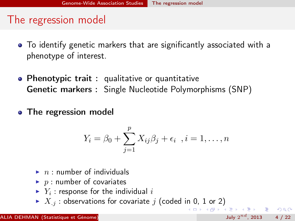## The regression model

- To identify genetic markers that are significantly associated with a phenotype of interest.
- Phenotypic trait: qualitative or quantitative Genetic markers : Single Nucleotide Polymorphisms (SNP)
- The regression model

<span id="page-6-0"></span>
$$
Y_i = \beta_0 + \sum_{j=1}^p X_{ij}\beta_j + \epsilon_i \quad i = 1, \dots, n
$$

- $\blacktriangleright$  n : number of individuals
- $\blacktriangleright$  p : number of covariates
- $\blacktriangleright$   $Y_i$  : response for the individual  $i$
- $\blacktriangleright$   $X_j$ : observations for covariate j (coded in 0, 1 or 2) **KORKAN KERKER SARA**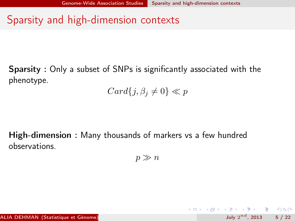# Sparsity and high-dimension contexts

Sparsity : Only a subset of SNPs is significantly associated with the phenotype.

 $Card{j, \beta_j \neq 0} \ll p$ 

High-dimension : Many thousands of markers vs a few hundred observations.

 $p \gg n$ 

<span id="page-7-0"></span>K ロ > K @ > K 할 > K 할 > → 할 → K Q Q @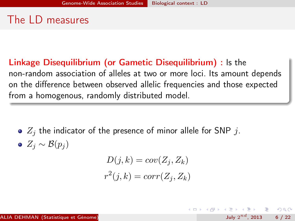# The LD measures

Linkage Disequilibrium (or Gametic Disequilibrium) : Is the non-random association of alleles at two or more loci. Its amount depends on the difference between observed allelic frequencies and those expected from a homogenous, randomly distributed model.

- $\bullet$   $Z_i$  the indicator of the presence of minor allele for SNP  $i$ .
- $\bullet$  Z<sub>i</sub> ~ B(p<sub>i</sub>)

$$
D(j,k) = cov(Z_j, Z_k)
$$
  

$$
r^2(j,k) = corr(Z_j, Z_k)
$$

<span id="page-8-0"></span> $\Omega$ 

( ロ ) ( 何 ) ( ヨ ) ( ヨ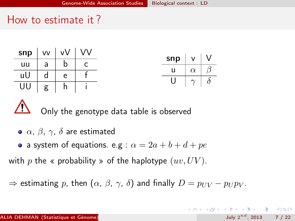### How to estimate it ?



Only the genotype data table is observed

- $\bullet$   $\alpha$ ,  $\beta$ ,  $\gamma$ ,  $\delta$  are estimated
- a system of equations. e.g :  $\alpha = 2a + b + d + pe$

with p the « probability » of the haplotype  $(uv, UV)$ .

 $\Rightarrow$  estimating p, then  $(\alpha, \beta, \gamma, \delta)$  and finally  $D = p_{UV} - p_{U}p_{V}$ .

<span id="page-9-0"></span>KEL KALLA BIK ABIK BIKAAN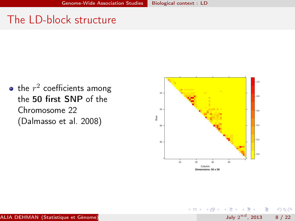# The LD-block structure

the  $r^2$  coefficients among the 50 first SNP of the Chromosome 22 (Dalmasso et al. 2008)



4 D F

July  $2^{nd}$ , 2013 8 / 22

<span id="page-10-0"></span> $200$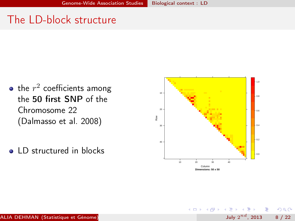# The LD-block structure

- the  $r^2$  coefficients among the 50 first SNP of the Chromosome 22 (Dalmasso et al. 2008)
- **Q** ID structured in blocks



4 **D** F

<span id="page-11-0"></span> $200$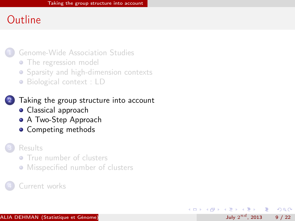1 [Genome-Wide Association Studies](#page-5-0)

- [The regression model](#page-6-0)
- **•** [Sparsity and high-dimension contexts](#page-7-0)
- [Biological context : LD](#page-8-0)

[Taking the group structure into account](#page-12-0)

- **•** [Classical approach](#page-13-0)
- **[A Two-Step Approach](#page-14-0)**
- **•** [Competing methods](#page-15-0)

#### **[Results](#page-17-0)**

- **[True number of clusters](#page-18-0)**
- **[Misspecified number of clusters](#page-19-0)**

July  $2^{nd}$ , 2013 9 / 22

<span id="page-12-0"></span> $\Omega$ 

化重 网络重

4 **D** F

#### [Current works](#page-21-0)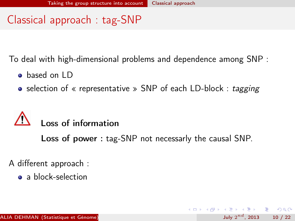July  $2^{nd}$ , 2013 10 / 22

<span id="page-13-0"></span> $\Omega$ 

**K ロ ト K 何 ト K ヨ ト K ヨ ト ニヨ** 

# Classical approach : tag-SNP

To deal with high-dimensional problems and dependence among SNP :

- **o** based on LD
- selection of « representative » SNP of each LD-block : tagging

# Loss of information

Loss of power : tag-SNP not necessarly the causal SNP.

A different approach :

• a block-selection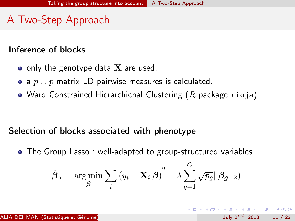# A Two-Step Approach

### Inference of blocks

- only the genotype data  $X$  are used.
- a  $p \times p$  matrix LD pairwise measures is calculated.
- Ward Constrained Hierarchichal Clustering  $(R$  package rioja)

### Selection of blocks associated with phenotype

The Group Lasso : well-adapted to group-structured variables

$$
\hat{\boldsymbol{\beta}}_{\lambda} = \argmin_{\boldsymbol{\beta}} \sum_{i} (y_i - \mathbf{X}_{i\cdot} \boldsymbol{\beta})^2 + \lambda \sum_{g=1}^{G} \sqrt{p_g} ||\boldsymbol{\beta_g}||_2).
$$

<span id="page-14-0"></span> $\Omega$ 

( ロ ) ( 何 ) ( ヨ ) ( ヨ ) - ヨ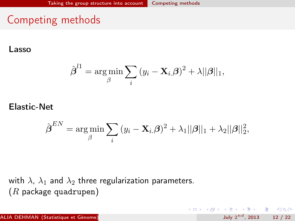# Competing methods

Lasso

$$
\hat{\boldsymbol{\beta}}^{l1} = \argmin_{\beta} \sum_{i} (y_i - \mathbf{X}_{i.} \boldsymbol{\beta})^2 + \lambda ||\boldsymbol{\beta}||_1,
$$

#### Elastic-Net

$$
\hat{\boldsymbol{\beta}}^{EN} = \argmin_{\beta} \sum_i \left( y_i - \mathbf{X}_i \boldsymbol{\beta} \right)^2 + \lambda_1 ||\boldsymbol{\beta}||_1 + \lambda_2 ||\boldsymbol{\beta}||_2^2,
$$

<span id="page-15-0"></span>July  $2^{nd}$ , 2013 12 / 22

**KORKA ERKER ADA YOUR** 

with  $\lambda$ ,  $\lambda_1$  and  $\lambda_2$  three regularization parameters.  $(R$  package quadrupen)

ALIA DEHMAN (Statistique et Génome)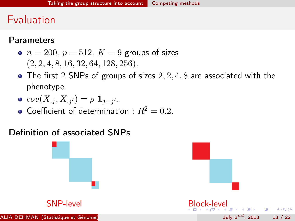## Evaluation

#### **Parameters**

- $n = 200$ ,  $p = 512$ ,  $K = 9$  groups of sizes  $(2, 2, 4, 8, 16, 32, 64, 128, 256).$
- $\bullet$  The first 2 SNPs of groups of sizes  $2, 2, 4, 8$  are associated with the phenotype.

• 
$$
cov(X_{.j}, X_{.j'}) = \rho \mathbf{1}_{j=j'}.
$$

<span id="page-16-0"></span>• Coefficient of determination :  $R^2 = 0.2$ .

### Definition of associated SNPs

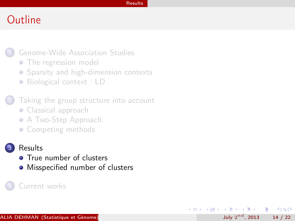#### [Results](#page-17-0)

July  $2^{nd}$ , 2013 14 / 22

э

<span id="page-17-0"></span> $QQ$ 

 $\langle \langle \langle \langle \langle \rangle \rangle \rangle \rangle$  and  $\langle \langle \rangle \rangle$  and  $\langle \rangle$  and  $\langle \rangle$ 

4 D F

## **Outline**

1 [Genome-Wide Association Studies](#page-5-0)

- [The regression model](#page-6-0)
- **•** [Sparsity and high-dimension contexts](#page-7-0)
- [Biological context : LD](#page-8-0)

[Taking the group structure into account](#page-12-0)

- [Classical approach](#page-13-0)
- **[A Two-Step Approach](#page-14-0)**
- [Competing methods](#page-15-0)

#### **[Results](#page-17-0)**

- **O** [True number of clusters](#page-18-0)
- [Misspecified number of clusters](#page-19-0)

#### [Current works](#page-21-0)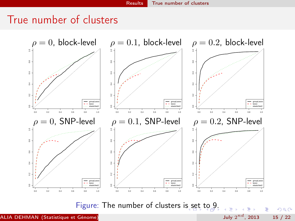## True number of clusters



Figure: The number of clusters i[s s](#page-17-0)e[t](#page-19-0) [to](#page-17-0) [9](#page-18-0)[.](#page-19-0)

ALIA DEHMAN (Statistique et Génome)

July  $2^{nd}$ , 2013 15 / 22

<span id="page-18-0"></span> $QQ$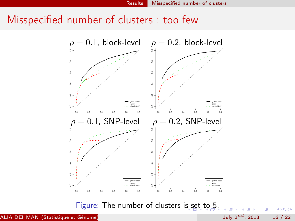### Misspecified number of clusters : too few



Figure: The number of clusters i[s s](#page-18-0)e[t](#page-20-0) [to](#page-18-0) [5](#page-19-0)[.](#page-20-0)

ALIA DEHMAN (Statistique et Génome)

```
July 2^{nd}, 2013 16 / 22
```
<span id="page-19-0"></span> $QQ$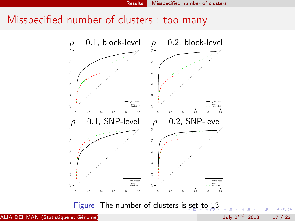### Misspecified number of clusters : too many



Figure: The number of clusters is [se](#page-19-0)[t t](#page-21-0)[o](#page-19-0) [13](#page-20-0)[.](#page-21-0)

ALIA DEHMAN (Statistique et Génome)

July  $2^{nd}$ , 2013 17 / 22

<span id="page-20-0"></span> $QQ$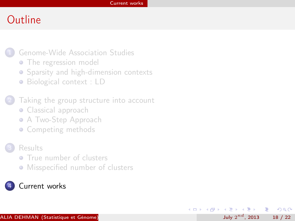July  $2^{nd}$ , 2013 18 / 22

÷.

<span id="page-21-0"></span> $\Omega$ 

 $\mathcal{A} \cap \mathbb{P} \rightarrow \mathcal{A} \supseteq \mathcal{A} \rightarrow \mathcal{A} \supseteq \mathcal{A}$ 

4 D F

# **Outline**

- 1 [Genome-Wide Association Studies](#page-5-0)
	- [The regression model](#page-6-0)
	- **•** [Sparsity and high-dimension contexts](#page-7-0)
	- [Biological context : LD](#page-8-0)
- [Taking the group structure into account](#page-12-0)
	- [Classical approach](#page-13-0)
	- **[A Two-Step Approach](#page-14-0)**
	- [Competing methods](#page-15-0)
- **[Results](#page-17-0)** 
	- **[True number of clusters](#page-18-0)**
	- **[Misspecified number of clusters](#page-19-0)**

#### [Current works](#page-21-0)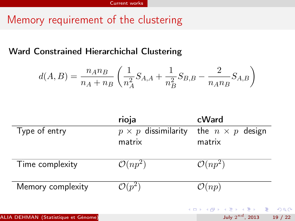# Memory requirement of the clustering

### Ward Constrained Hierarchichal Clustering

<span id="page-22-0"></span>
$$
d(A, B) = \frac{n_A n_B}{n_A + n_B} \left( \frac{1}{n_A^2} S_{A, A} + \frac{1}{n_B^2} S_{B, B} - \frac{2}{n_A n_B} S_{A, B} \right)
$$

|                                     | rioja                      | cWard                   |       |
|-------------------------------------|----------------------------|-------------------------|-------|
| Type of entry                       | $p \times p$ dissimilarity | the $n \times p$ design |       |
|                                     | matrix                     | matrix                  |       |
| Time complexity                     | $\mathcal{O}(np^2)$        | $\mathcal{O}(np^2)$     |       |
| Memory complexity                   | $\mathcal{O}(p^2)$         | $\mathcal{O}(np)$       |       |
|                                     |                            | イロト イ押 トイヨ トイヨ ドーヨー つなび |       |
| ALIA DEHMAN (Statistique et Génome) |                            | July $2^{nd}$ , 2013    | 19/22 |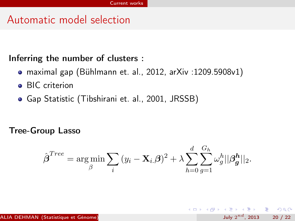## Automatic model selection

### Inferring the number of clusters :

- maximal gap (Bühlmann et. al., 2012, arXiv :1209.5908v1)
- **•** BIC criterion
- Gap Statistic (Tibshirani et. al., 2001, JRSSB)

#### Tree-Group Lasso

$$
\hat{\boldsymbol{\beta}}^{Tree} = \argmin_{\beta} \sum_{i} (y_i - \mathbf{X}_{i.} \boldsymbol{\beta})^2 + \lambda \sum_{h=0}^{d} \sum_{g=1}^{G_h} \omega_g^h ||\boldsymbol{\beta_g^h}||_2.
$$

<span id="page-23-0"></span> $QQ$ 

**K ロ ト K 何 ト K ヨ ト K ヨ ト ニヨ**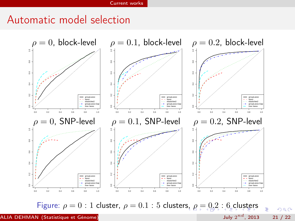### Automatic model selection



Figure: $\rho = 0$  $\rho = 0$  $\rho = 0$  $\rho = 0$ [:](#page-20-0) 1 [cl](#page-25-0)[us](#page-20-0)[t](#page-21-0)er,  $\rho = 0.1$ : 5 cluster[s,](#page-23-0)  $\rho = 0.2$  $\rho = 0.2$ : [6](#page-21-0) clust[ers](#page-25-0)

July  $2^{nd}$ , 2013 21 / 22

<span id="page-24-0"></span> $299$